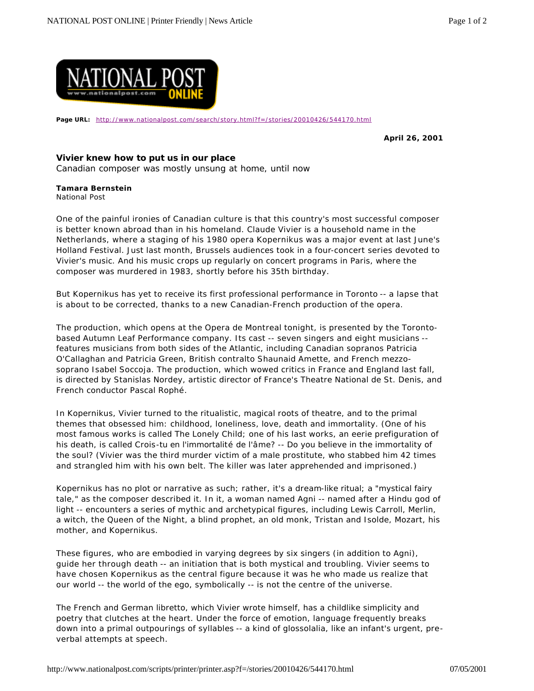

Page URL: http://www.nationalpost.com/search/story.html?f=/stories/20010426/544170.html

**April 26, 2001**

## **Vivier knew how to put us in our place**

Canadian composer was mostly unsung at home, until now

## **Tamara Bernstein**

National Post

One of the painful ironies of Canadian culture is that this country's most successful composer is better known abroad than in his homeland. Claude Vivier is a household name in the Netherlands, where a staging of his 1980 opera Kopernikus was a major event at last June's Holland Festival. Just last month, Brussels audiences took in a four-concert series devoted to Vivier's music. And his music crops up regularly on concert programs in Paris, where the composer was murdered in 1983, shortly before his 35th birthday.

But Kopernikus has yet to receive its first professional performance in Toronto -- a lapse that is about to be corrected, thanks to a new Canadian-French production of the opera.

The production, which opens at the Opera de Montreal tonight, is presented by the Torontobased Autumn Leaf Performance company. Its cast -- seven singers and eight musicians - features musicians from both sides of the Atlantic, including Canadian sopranos Patricia O'Callaghan and Patricia Green, British contralto Shaunaid Amette, and French mezzosoprano Isabel Soccoja. The production, which wowed critics in France and England last fall, is directed by Stanislas Nordey, artistic director of France's Theatre National de St. Denis, and French conductor Pascal Rophé.

In Kopernikus, Vivier turned to the ritualistic, magical roots of theatre, and to the primal themes that obsessed him: childhood, loneliness, love, death and immortality. (One of his most famous works is called The Lonely Child; one of his last works, an eerie prefiguration of his death, is called Crois-tu en l'immortalité de l'âme? -- Do you believe in the immortality of the soul? (Vivier was the third murder victim of a male prostitute, who stabbed him 42 times and strangled him with his own belt. The killer was later apprehended and imprisoned.)

Kopernikus has no plot or narrative as such; rather, it's a dream-like ritual; a "mystical fairy tale," as the composer described it. In it, a woman named Agni -- named after a Hindu god of light -- encounters a series of mythic and archetypical figures, including Lewis Carroll, Merlin, a witch, the Queen of the Night, a blind prophet, an old monk, Tristan and Isolde, Mozart, his mother, and Kopernikus.

These figures, who are embodied in varying degrees by six singers (in addition to Agni), guide her through death -- an initiation that is both mystical and troubling. Vivier seems to have chosen Kopernikus as the central figure because it was he who made us realize that our world -- the world of the ego, symbolically -- is not the centre of the universe.

The French and German libretto, which Vivier wrote himself, has a childlike simplicity and poetry that clutches at the heart. Under the force of emotion, language frequently breaks down into a primal outpourings of syllables -- a kind of glossolalia, like an infant's urgent, preverbal attempts at speech.